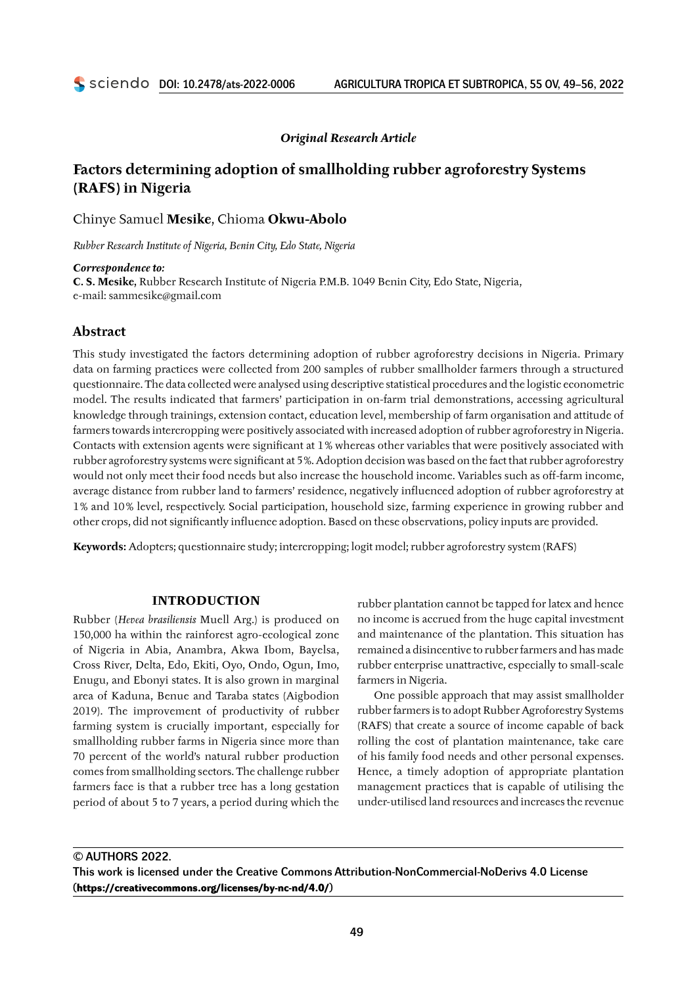# *Original Research Article*

# **Factors determining adoption of smallholding rubber agroforestry Systems (RAFS) in Nigeria**

# Chinye Samuel **Mesike**, Chioma **Okwu‑Abolo**

*Rubber Research Institute of Nigeria, Benin City, Edo State, Nigeria*

#### *Correspondence to:*

**C. S. Mesike,** Rubber Research Institute of Nigeria P.M.B. 1049 Benin City, Edo State, Nigeria, e‑mail: sammesike@gmail.com

# **Abstract**

This study investigated the factors determining adoption of rubber agroforestry decisions in Nigeria. Primary data on farming practices were collected from 200 samples of rubber smallholder farmers through a structured questionnaire. The data collected were analysed using descriptive statistical procedures and the logistic econometric model. The results indicated that farmers' participation in on-farm trial demonstrations, accessing agricultural knowledge through trainings, extension contact, education level, membership of farm organisation and attitude of farmers towards intercropping were positively associated with increased adoption of rubber agroforestry in Nigeria. Contacts with extension agents were significant at 1% whereas other variables that were positively associated with rubber agroforestry systems were significant at 5%. Adoption decision was based on the fact that rubber agroforestry would not only meet their food needs but also increase the household income. Variables such as off-farm income, average distance from rubber land to farmers' residence, negatively influenced adoption of rubber agroforestry at 1% and 10% level, respectively. Social participation, household size, farming experience in growing rubber and other crops, did not significantly influence adoption. Based on these observations, policy inputs are provided.

**Keywords:** Adopters; questionnaire study; intercropping; logit model; rubber agroforestry system (RAFS)

# **INTRODUCTION**

Rubber (*Hevea brasiliensis* Muell Arg.) is produced on 150,000 ha within the rainforest agro‑ecological zone of Nigeria in Abia, Anambra, Akwa Ibom, Bayelsa, Cross River, Delta, Edo, Ekiti, Oyo, Ondo, Ogun, Imo, Enugu, and Ebonyi states. It is also grown in marginal area of Kaduna, Benue and Taraba states (Aigbodion 2019). The improvement of productivity of rubber farming system is crucially important, especially for smallholding rubber farms in Nigeria since more than 70 percent of the world's natural rubber production comes from smallholding sectors. The challenge rubber farmers face is that a rubber tree has a long gestation period of about 5 to 7 years, a period during which the

rubber plantation cannot be tapped for latex and hence no income is accrued from the huge capital investment and maintenance of the plantation. This situation has remained a disincentive to rubber farmers and has made rubber enterprise unattractive, especially to small‑scale farmers in Nigeria.

One possible approach that may assist smallholder rubber farmers is to adopt Rubber Agroforestry Systems (RAFS) that create a source of income capable of back rolling the cost of plantation maintenance, take care of his family food needs and other personal expenses. Hence, a timely adoption of appropriate plantation management practices that is capable of utilising the under‑utilised land resources and increases the revenue

© AUTHORS 2022.

This work is licensed under the Creative Commons Attribution-NonCommercial-NoDerivs 4.0 License (**<https://creativecommons.org/licenses/by-nc-nd/4.0/>**)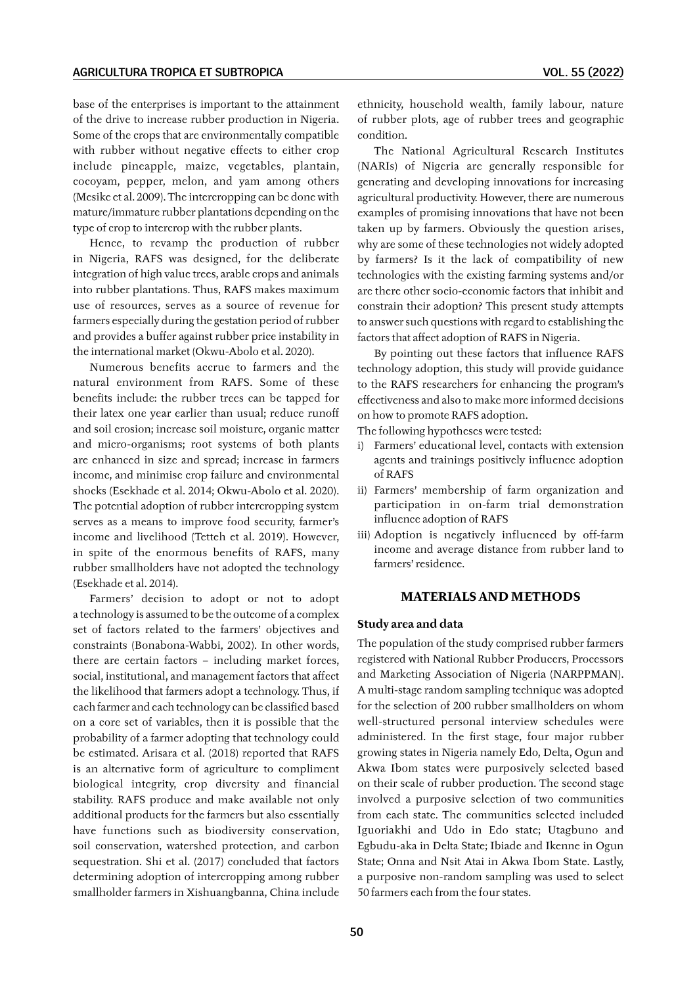base of the enterprises is important to the attainment of the drive to increase rubber production in Nigeria. Some of the crops that are environmentally compatible with rubber without negative effects to either crop include pineapple, maize, vegetables, plantain, cocoyam, pepper, melon, and yam among others (Mesike et al. 2009). The intercropping can be done with mature/immature rubber plantations depending on the type of crop to intercrop with the rubber plants.

Hence, to revamp the production of rubber in Nigeria, RAFS was designed, for the deliberate integration of high value trees, arable crops and animals into rubber plantations. Thus, RAFS makes maximum use of resources, serves as a source of revenue for farmers especially during the gestation period of rubber and provides a buffer against rubber price instability in the international market (Okwu‑Abolo et al. 2020).

Numerous benefits accrue to farmers and the natural environment from RAFS. Some of these benefits include: the rubber trees can be tapped for their latex one year earlier than usual; reduce runoff and soil erosion; increase soil moisture, organic matter and micro‑organisms; root systems of both plants are enhanced in size and spread; increase in farmers income, and minimise crop failure and environmental shocks (Esekhade et al. 2014; Okwu‑Abolo et al. 2020). The potential adoption of rubber intercropping system serves as a means to improve food security, farmer's income and livelihood (Tetteh et al. 2019). However, in spite of the enormous benefits of RAFS, many rubber smallholders have not adopted the technology (Esekhade et al. 2014).

Farmers' decision to adopt or not to adopt a technology is assumed to be the outcome of a complex set of factors related to the farmers' objectives and constraints (Bonabona‑Wabbi, 2002). In other words, there are certain factors – including market forces, social, institutional, and management factors that affect the likelihood that farmers adopt a technology. Thus, if each farmer and each technology can be classified based on a core set of variables, then it is possible that the probability of a farmer adopting that technology could be estimated. Arisara et al. (2018) reported that RAFS is an alternative form of agriculture to compliment biological integrity, crop diversity and financial stability. RAFS produce and make available not only additional products for the farmers but also essentially have functions such as biodiversity conservation, soil conservation, watershed protection, and carbon sequestration. Shi et al. (2017) concluded that factors determining adoption of intercropping among rubber smallholder farmers in Xishuangbanna, China include

ethnicity, household wealth, family labour, nature of rubber plots, age of rubber trees and geographic condition.

The National Agricultural Research Institutes (NARIs) of Nigeria are generally responsible for generating and developing innovations for increasing agricultural productivity. However, there are numerous examples of promising innovations that have not been taken up by farmers. Obviously the question arises, why are some of these technologies not widely adopted by farmers? Is it the lack of compatibility of new technologies with the existing farming systems and/or are there other socio‑economic factors that inhibit and constrain their adoption? This present study attempts to answer such questions with regard to establishing the factors that affect adoption of RAFS in Nigeria.

By pointing out these factors that influence RAFS technology adoption, this study will provide guidance to the RAFS researchers for enhancing the program's effectiveness and also to make more informed decisions on how to promote RAFS adoption.

The following hypotheses were tested:

- i) Farmers' educational level, contacts with extension agents and trainings positively influence adoption of RAFS
- ii) Farmers' membership of farm organization and participation in on-farm trial demonstration influence adoption of RAFS
- iii) Adoption is negatively influenced by off-farm income and average distance from rubber land to farmers' residence.

# **MATERIALS AND METHODS**

### **Study area and data**

The population of the study comprised rubber farmers registered with National Rubber Producers, Processors and Marketing Association of Nigeria (NARPPMAN). A multi‑stage random sampling technique was adopted for the selection of 200 rubber smallholders on whom well‑structured personal interview schedules were administered. In the first stage, four major rubber growing states in Nigeria namely Edo, Delta, Ogun and Akwa Ibom states were purposively selected based on their scale of rubber production. The second stage involved a purposive selection of two communities from each state. The communities selected included Iguoriakhi and Udo in Edo state; Utagbuno and Egbudu‑aka in Delta State; Ibiade and Ikenne in Ogun State; Onna and Nsit Atai in Akwa Ibom State. Lastly, a purposive non‑random sampling was used to select 50 farmers each from the four states.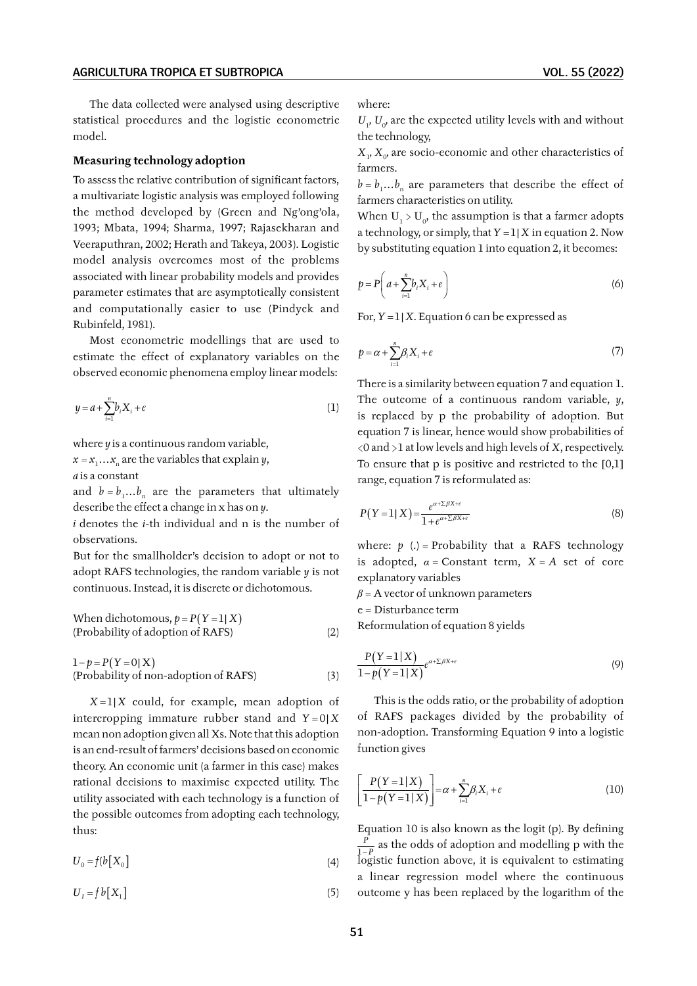The data collected were analysed using descriptive statistical procedures and the logistic econometric model.

## **Measuring technology adoption**

To assess the relative contribution of significant factors, a multivariate logistic analysis was employed following the method developed by (Green and Ng'ong'ola, 1993; Mbata, 1994; Sharma, 1997; Rajasekharan and Veeraputhran, 2002; Herath and Takeya, 2003). Logistic model analysis overcomes most of the problems associated with linear probability models and provides parameter estimates that are asymptotically consistent and computationally easier to use (Pindyck and Rubinfeld, 1981).

Most econometric modellings that are used to estimate the effect of explanatory variables on the observed economic phenomena employ linear models:

$$
y = a + \sum_{i=1}^{n} b_i X_i + e
$$
 (1)

where *y* is a continuous random variable,

 $x = x_1 \dots x_n$  are the variables that explain *y*,

*a* is a constant

and  $b = b_1...b_n$  are the parameters that ultimately describe the effect a change in x has on *y*.

*i* denotes the *i*‑th individual and n is the number of observations.

But for the smallholder's decision to adopt or not to adopt RAFS technologies, the random variable *y* is not continuous. Instead, it is discrete or dichotomous.

When dichotomous,  $p = P(Y = 1 | X)$ (Probability of adoption of RAFS) (2)

 $1 - p = P(Y = 0 | X)$ (Probability of non‑adoption of RAFS) (3)

 $X = 1 | X$  could, for example, mean adoption of intercropping immature rubber stand and  $Y = 0|X|$ mean non adoption given all Xs. Note that this adoption is an end‑result of farmers' decisions based on economic theory. An economic unit (a farmer in this case) makes rational decisions to maximise expected utility. The utility associated with each technology is a function of the possible outcomes from adopting each technology, thus:

$$
U_0 = f(b[X_0] \tag{4}
$$

 $U_{I} = f b[X_{1}]$  (5)

where:

 $U_1$ ,  $U_0$  are the expected utility levels with and without the technology,

 $X_1, X_0$  are socio-economic and other characteristics of farmers.

 $b = b_1...b_n$  are parameters that describe the effect of farmers characteristics on utility.

When  $U_1 > U_0$ , the assumption is that a farmer adopts a technology, or simply, that  $Y = 1|X$  in equation 2. Now by substituting equation 1 into equation 2, it becomes:

$$
p = P\left(a + \sum_{i=1}^{n} b_i X_i + e\right)
$$
\n(6)

For,  $Y = 1 | X$ . Equation 6 can be expressed as

$$
p = \alpha + \sum_{i=1}^{n} \beta_i X_i + e \tag{7}
$$

There is a similarity between equation 7 and equation 1. The outcome of a continuous random variable, *y*, is replaced by p the probability of adoption. But equation 7 is linear, hence would show probabilities of <0 and >1 at low levels and high levels of *X*, respectively. To ensure that p is positive and restricted to the [0,1] range, equation 7 is reformulated as:

$$
P(Y=1|X) = \frac{e^{\alpha + \sum \beta X + \epsilon}}{1 + e^{\alpha + \sum \beta X + \epsilon}} \tag{8}
$$

where:  $p(.)$  = Probability that a RAFS technology is adopted,  $\alpha$  = Constant term,  $X = A$  set of core explanatory variables

 $\beta$  = A vector of unknown parameters

e = Disturbance term

Reformulation of equation 8 yields

$$
\frac{P(Y=1|X)}{1-p(Y=1|X)}e^{\alpha+\sum\beta X+\epsilon}
$$
\n(9)

This is the odds ratio, or the probability of adoption of RAFS packages divided by the probability of non‑adoption. Transforming Equation 9 into a logistic function gives

$$
\left[\frac{P(Y=1|X)}{1-p(Y=1|X)}\right] = \alpha + \sum_{i=1}^{n} \beta_i X_i + e \tag{10}
$$

Equation 10 is also known as the logit (p). By defining 1 *P*−*P* as the odds of adoption and modelling p with the logistic function above, it is equivalent to estimating a linear regression model where the continuous outcome y has been replaced by the logarithm of the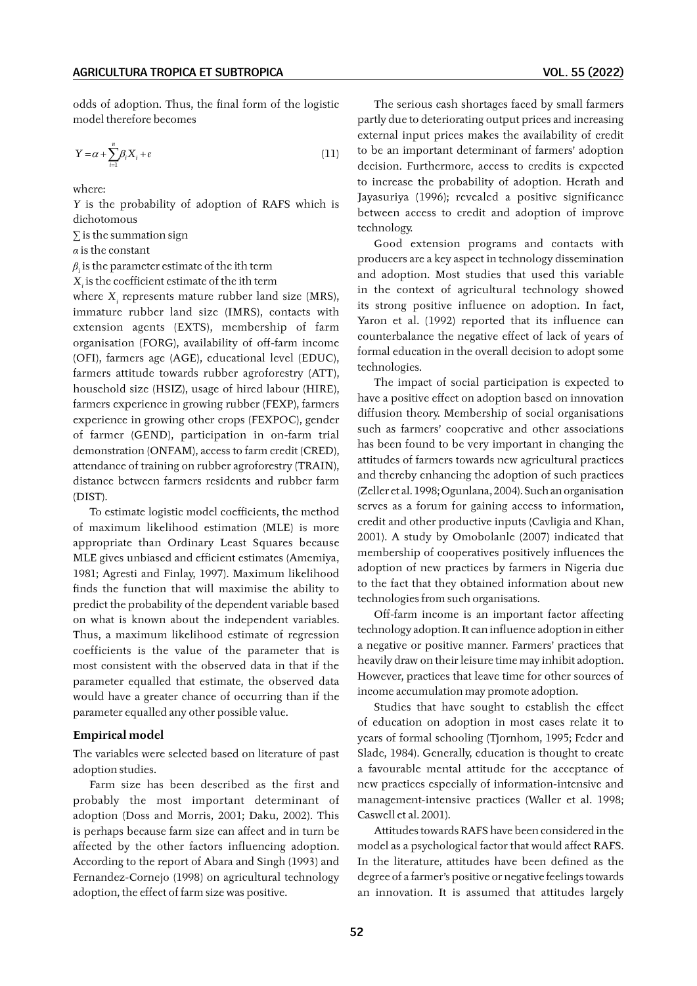odds of adoption. Thus, the final form of the logistic model therefore becomes

$$
Y = \alpha + \sum_{i=1}^{n} \beta_i X_i + e \tag{11}
$$

where:

*Y* is the probability of adoption of RAFS which is dichotomous

*∑* is the summation sign

*α* is the constant

 $\beta_{\text{i}}$  is the parameter estimate of the ith term

 $X_i$  is the coefficient estimate of the ith term

where  $X_i$  represents mature rubber land size (MRS), immature rubber land size (IMRS), contacts with extension agents (EXTS), membership of farm organisation (FORG), availability of off-farm income (OFI), farmers age (AGE), educational level (EDUC), farmers attitude towards rubber agroforestry (ATT), household size (HSIZ), usage of hired labour (HIRE), farmers experience in growing rubber (FEXP), farmers experience in growing other crops (FEXPOC), gender of farmer (GEND), participation in on-farm trial demonstration (ONFAM), access to farm credit (CRED), attendance of training on rubber agroforestry (TRAIN), distance between farmers residents and rubber farm (DIST).

To estimate logistic model coefficients, the method of maximum likelihood estimation (MLE) is more appropriate than Ordinary Least Squares because MLE gives unbiased and efficient estimates (Amemiya, 1981; Agresti and Finlay, 1997). Maximum likelihood finds the function that will maximise the ability to predict the probability of the dependent variable based on what is known about the independent variables. Thus, a maximum likelihood estimate of regression coefficients is the value of the parameter that is most consistent with the observed data in that if the parameter equalled that estimate, the observed data would have a greater chance of occurring than if the parameter equalled any other possible value.

#### **Empirical model**

The variables were selected based on literature of past adoption studies.

Farm size has been described as the first and probably the most important determinant of adoption (Doss and Morris, 2001; Daku, 2002). This is perhaps because farm size can affect and in turn be affected by the other factors influencing adoption. According to the report of Abara and Singh (1993) and Fernandez‑Cornejo (1998) on agricultural technology adoption, the effect of farm size was positive.

The serious cash shortages faced by small farmers partly due to deteriorating output prices and increasing external input prices makes the availability of credit to be an important determinant of farmers' adoption decision. Furthermore, access to credits is expected to increase the probability of adoption. Herath and Jayasuriya (1996); revealed a positive significance between access to credit and adoption of improve technology.

Good extension programs and contacts with producers are a key aspect in technology dissemination and adoption. Most studies that used this variable in the context of agricultural technology showed its strong positive influence on adoption. In fact, Yaron et al. (1992) reported that its influence can counterbalance the negative effect of lack of years of formal education in the overall decision to adopt some technologies.

The impact of social participation is expected to have a positive effect on adoption based on innovation diffusion theory. Membership of social organisations such as farmers' cooperative and other associations has been found to be very important in changing the attitudes of farmers towards new agricultural practices and thereby enhancing the adoption of such practices (Zeller et al. 1998; Ogunlana, 2004). Such an organisation serves as a forum for gaining access to information, credit and other productive inputs (Cavligia and Khan, 2001). A study by Omobolanle (2007) indicated that membership of cooperatives positively influences the adoption of new practices by farmers in Nigeria due to the fact that they obtained information about new technologies from such organisations.

Off-farm income is an important factor affecting technology adoption. It can influence adoption in either a negative or positive manner. Farmers' practices that heavily draw on their leisure time may inhibit adoption. However, practices that leave time for other sources of income accumulation may promote adoption.

Studies that have sought to establish the effect of education on adoption in most cases relate it to years of formal schooling (Tjornhom, 1995; Feder and Slade, 1984). Generally, education is thought to create a favourable mental attitude for the acceptance of new practices especially of information‑intensive and management-intensive practices (Waller et al. 1998; Caswell et al. 2001).

Attitudes towards RAFS have been considered in the model as a psychological factor that would affect RAFS. In the literature, attitudes have been defined as the degree of a farmer's positive or negative feelings towards an innovation. It is assumed that attitudes largely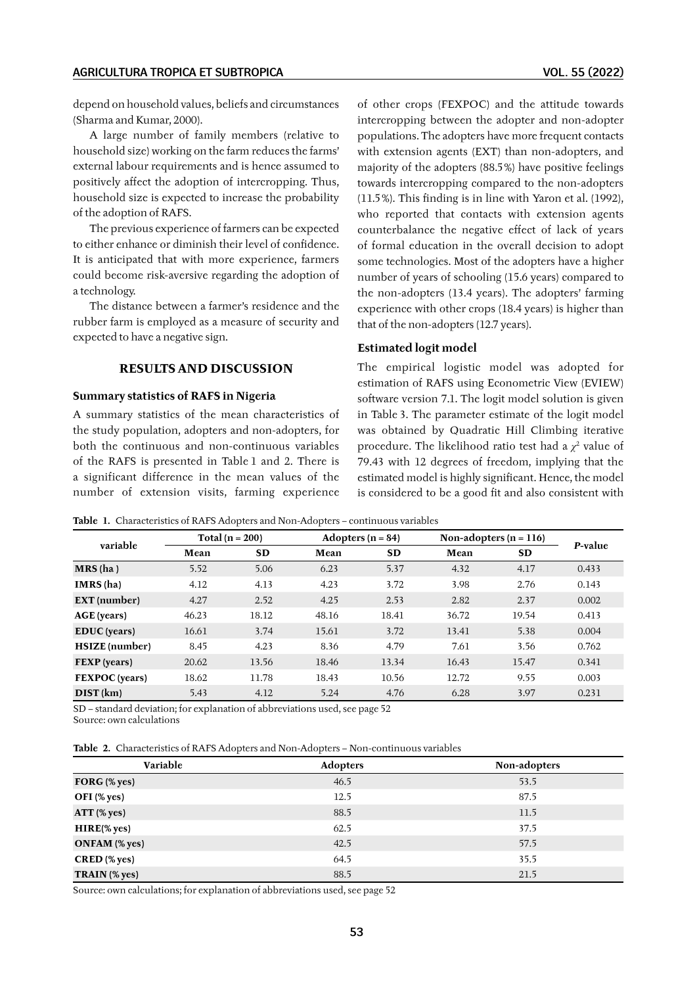depend on household values, beliefs and circumstances (Sharma and Kumar, 2000).

A large number of family members (relative to household size) working on the farm reduces the farms' external labour requirements and is hence assumed to positively affect the adoption of intercropping. Thus, household size is expected to increase the probability of the adoption of RAFS.

The previous experience of farmers can be expected to either enhance or diminish their level of confidence. It is anticipated that with more experience, farmers could become risk‑aversive regarding the adoption of a technology.

The distance between a farmer's residence and the rubber farm is employed as a measure of security and expected to have a negative sign.

# **RESULTS AND DISCUSSION**

### **Summary statistics of RAFS in Nigeria**

A summary statistics of the mean characteristics of the study population, adopters and non‑adopters, for both the continuous and non‑continuous variables of the RAFS is presented in Table 1 and 2. There is a significant difference in the mean values of the number of extension visits, farming experience of other crops (FEXPOC) and the attitude towards intercropping between the adopter and non‑adopter populations. The adopters have more frequent contacts with extension agents (EXT) than non-adopters, and majority of the adopters (88.5%) have positive feelings towards intercropping compared to the non‑adopters (11.5%). This finding is in line with Yaron et al. (1992), who reported that contacts with extension agents counterbalance the negative effect of lack of years of formal education in the overall decision to adopt some technologies. Most of the adopters have a higher number of years of schooling (15.6 years) compared to the non‑adopters (13.4 years). The adopters' farming experience with other crops (18.4 years) is higher than that of the non‑adopters (12.7 years).

# **Estimated logit model**

The empirical logistic model was adopted for estimation of RAFS using Econometric View (EVIEW) software version 7.1. The logit model solution is given in Table 3. The parameter estimate of the logit model was obtained by Quadratic Hill Climbing iterative procedure. The likelihood ratio test had a *χ*<sup>2</sup> value of 79.43 with 12 degrees of freedom, implying that the estimated model is highly significant. Hence, the model is considered to be a good fit and also consistent with

**Table 1.** Characteristics of RAFS Adopters and Non-Adopters – continuous variables

| variable              | Total ( $n = 200$ ) |           | Adopters ( $n = 84$ ) |           | Non-adopters ( $n = 116$ ) |           | P-value |
|-----------------------|---------------------|-----------|-----------------------|-----------|----------------------------|-----------|---------|
|                       | Mean                | <b>SD</b> | Mean                  | <b>SD</b> | Mean                       | <b>SD</b> |         |
| $MRS$ (ha)            | 5.52                | 5.06      | 6.23                  | 5.37      | 4.32                       | 4.17      | 0.433   |
| IMRS(ha)              | 4.12                | 4.13      | 4.23                  | 3.72      | 3.98                       | 2.76      | 0.143   |
| <b>EXT</b> (number)   | 4.27                | 2.52      | 4.25                  | 2.53      | 2.82                       | 2.37      | 0.002   |
| AGE (years)           | 46.23               | 18.12     | 48.16                 | 18.41     | 36.72                      | 19.54     | 0.413   |
| <b>EDUC</b> (years)   | 16.61               | 3.74      | 15.61                 | 3.72      | 13.41                      | 5.38      | 0.004   |
| <b>HSIZE</b> (number) | 8.45                | 4.23      | 8.36                  | 4.79      | 7.61                       | 3.56      | 0.762   |
| <b>FEXP</b> (years)   | 20.62               | 13.56     | 18.46                 | 13.34     | 16.43                      | 15.47     | 0.341   |
| <b>FEXPOC</b> (years) | 18.62               | 11.78     | 18.43                 | 10.56     | 12.72                      | 9.55      | 0.003   |
| DIST(km)              | 5.43                | 4.12      | 5.24                  | 4.76      | 6.28                       | 3.97      | 0.231   |

SD – standard deviation; for explanation of abbreviations used, see page 52 Source: own calculations

**Table 2.** Characteristics of RAFS Adopters and Non-Adopters – Non-continuous variables

| Variable             | Adopters | Non-adopters |
|----------------------|----------|--------------|
| FORG $%$ yes)        | 46.5     | 53.5         |
| OFI (% yes)          | 12.5     | 87.5         |
| ATT (% yes)          | 88.5     | 11.5         |
| HIRE(% yes)          | 62.5     | 37.5         |
| <b>ONFAM</b> (% yes) | 42.5     | 57.5         |
| CRED (% yes)         | 64.5     | 35.5         |
| TRAIN (% yes)        | 88.5     | 21.5         |

Source: own calculations; for explanation of abbreviations used, see page 52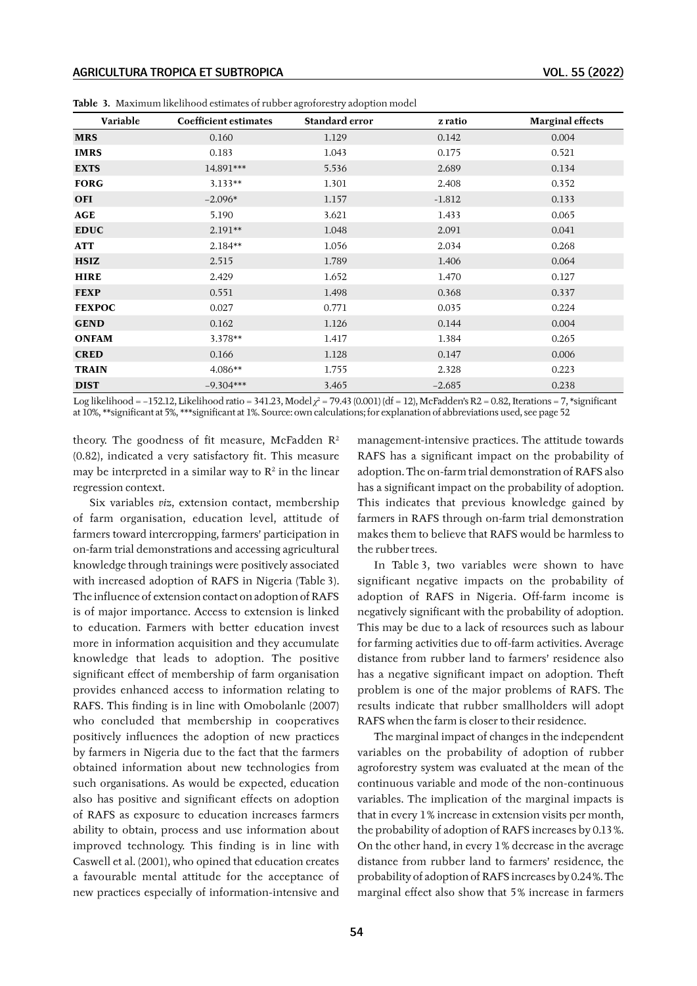| Variable      | Coefficient estimates | Standard error | z ratio  | <b>Marginal effects</b> |
|---------------|-----------------------|----------------|----------|-------------------------|
| <b>MRS</b>    | 0.160                 | 1.129          | 0.142    | 0.004                   |
| <b>IMRS</b>   | 0.183                 | 1.043          | 0.175    | 0.521                   |
| <b>EXTS</b>   | 14.891***             | 5.536          | 2.689    | 0.134                   |
| <b>FORG</b>   | $3.133**$             | 1.301          | 2.408    | 0.352                   |
| <b>OFI</b>    | $-2.096*$             | 1.157          | $-1.812$ | 0.133                   |
| AGE           | 5.190                 | 3.621          | 1.433    | 0.065                   |
| <b>EDUC</b>   | $2.191**$             | 1.048          | 2.091    | 0.041                   |
| ATT           | $2.184**$             | 1.056          | 2.034    | 0.268                   |
| <b>HSIZ</b>   | 2.515                 | 1.789          | 1.406    | 0.064                   |
| <b>HIRE</b>   | 2.429                 | 1.652          | 1.470    | 0.127                   |
| <b>FEXP</b>   | 0.551                 | 1.498          | 0.368    | 0.337                   |
| <b>FEXPOC</b> | 0.027                 | 0.771          | 0.035    | 0.224                   |
| <b>GEND</b>   | 0.162                 | 1.126          | 0.144    | 0.004                   |
| <b>ONFAM</b>  | $3.378**$             | 1.417          | 1.384    | 0.265                   |
| <b>CRED</b>   | 0.166                 | 1.128          | 0.147    | 0.006                   |
| <b>TRAIN</b>  | $4.086**$             | 1.755          | 2.328    | 0.223                   |
| <b>DIST</b>   | $-9.304***$           | 3.465          | $-2.685$ | 0.238                   |

**Table 3.** Maximum likelihood estimates of rubber agroforestry adoption model

Log likelihood = −152.12, Likelihood ratio = 341.23, Model *χ*<sup>2</sup> = 79.43 (0.001) (df = 12), McFadden's R2 = 0.82, Iterations = 7, \*significant at 10%, \*\*significant at 5%, \*\*\*significant at 1%. Source: own calculations; for explanation of abbreviations used, see page 52

theory. The goodness of fit measure, McFadden R<sup>2</sup> (0.82), indicated a very satisfactory fit. This measure may be interpreted in a similar way to  $\mathbb{R}^2$  in the linear regression context.

Six variables *viz*, extension contact, membership of farm organisation, education level, attitude of farmers toward intercropping, farmers' participation in on‑farm trial demonstrations and accessing agricultural knowledge through trainings were positively associated with increased adoption of RAFS in Nigeria (Table 3). The influence of extension contact on adoption of RAFS is of major importance. Access to extension is linked to education. Farmers with better education invest more in information acquisition and they accumulate knowledge that leads to adoption. The positive significant effect of membership of farm organisation provides enhanced access to information relating to RAFS. This finding is in line with Omobolanle (2007) who concluded that membership in cooperatives positively influences the adoption of new practices by farmers in Nigeria due to the fact that the farmers obtained information about new technologies from such organisations. As would be expected, education also has positive and significant effects on adoption of RAFS as exposure to education increases farmers ability to obtain, process and use information about improved technology. This finding is in line with Caswell et al. (2001), who opined that education creates a favourable mental attitude for the acceptance of new practices especially of information‑intensive and

management‑intensive practices. The attitude towards RAFS has a significant impact on the probability of adoption. The on‑farm trial demonstration of RAFS also has a significant impact on the probability of adoption. This indicates that previous knowledge gained by farmers in RAFS through on-farm trial demonstration makes them to believe that RAFS would be harmless to the rubber trees.

In Table 3, two variables were shown to have significant negative impacts on the probability of adoption of RAFS in Nigeria. Off-farm income is negatively significant with the probability of adoption. This may be due to a lack of resources such as labour for farming activities due to off-farm activities. Average distance from rubber land to farmers' residence also has a negative significant impact on adoption. Theft problem is one of the major problems of RAFS. The results indicate that rubber smallholders will adopt RAFS when the farm is closer to their residence.

The marginal impact of changes in the independent variables on the probability of adoption of rubber agroforestry system was evaluated at the mean of the continuous variable and mode of the non‑continuous variables. The implication of the marginal impacts is that in every 1% increase in extension visits per month, the probability of adoption of RAFS increases by 0.13%. On the other hand, in every 1% decrease in the average distance from rubber land to farmers' residence, the probability of adoption of RAFS increases by 0.24%. The marginal effect also show that 5% increase in farmers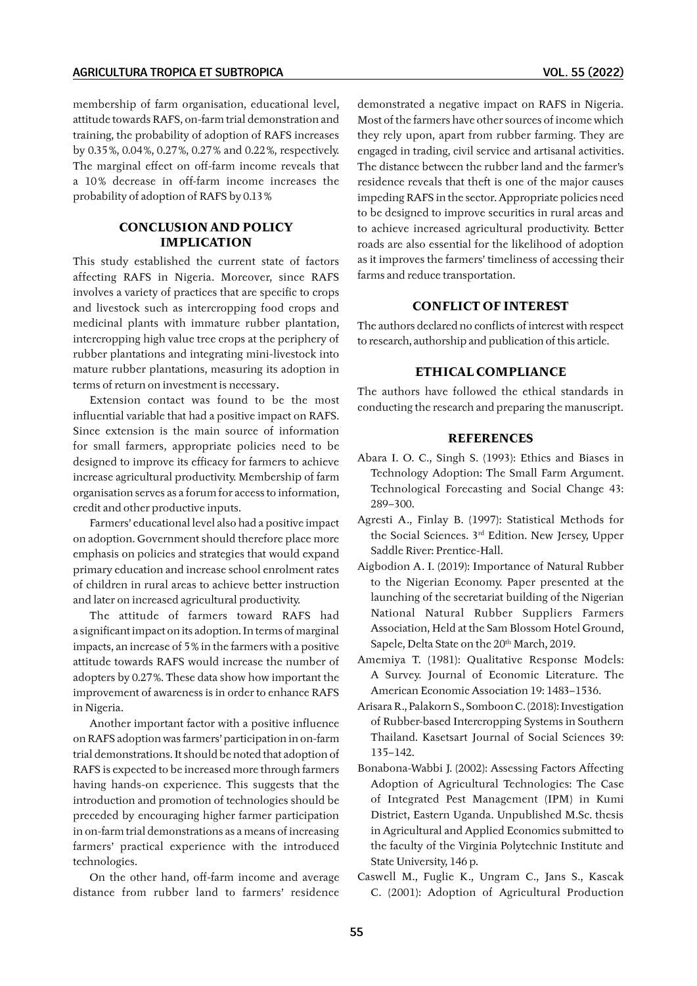membership of farm organisation, educational level, attitude towards RAFS, on‑farm trial demonstration and training, the probability of adoption of RAFS increases by 0.35%, 0.04%, 0.27%, 0.27% and 0.22%, respectively. The marginal effect on off-farm income reveals that a 10% decrease in off-farm income increases the probability of adoption of RAFS by 0.13%

# **CONCLUSION AND POLICY IMPLICATION**

This study established the current state of factors affecting RAFS in Nigeria. Moreover, since RAFS involves a variety of practices that are specific to crops and livestock such as intercropping food crops and medicinal plants with immature rubber plantation, intercropping high value tree crops at the periphery of rubber plantations and integrating mini‑livestock into mature rubber plantations, measuring its adoption in terms of return on investment is necessary.

Extension contact was found to be the most influential variable that had a positive impact on RAFS. Since extension is the main source of information for small farmers, appropriate policies need to be designed to improve its efficacy for farmers to achieve increase agricultural productivity. Membership of farm organisation serves as a forum for access to information, credit and other productive inputs.

Farmers' educational level also had a positive impact on adoption. Government should therefore place more emphasis on policies and strategies that would expand primary education and increase school enrolment rates of children in rural areas to achieve better instruction and later on increased agricultural productivity.

The attitude of farmers toward RAFS had a significant impact on its adoption. In terms of marginal impacts, an increase of 5% in the farmers with a positive attitude towards RAFS would increase the number of adopters by 0.27%. These data show how important the improvement of awareness is in order to enhance RAFS in Nigeria.

Another important factor with a positive influence on RAFS adoption was farmers' participation in on‑farm trial demonstrations. It should be noted that adoption of RAFS is expected to be increased more through farmers having hands‑on experience. This suggests that the introduction and promotion of technologies should be preceded by encouraging higher farmer participation in on-farm trial demonstrations as a means of increasing farmers' practical experience with the introduced technologies.

On the other hand, off-farm income and average distance from rubber land to farmers' residence demonstrated a negative impact on RAFS in Nigeria. Most of the farmers have other sources of income which they rely upon, apart from rubber farming. They are engaged in trading, civil service and artisanal activities. The distance between the rubber land and the farmer's residence reveals that theft is one of the major causes impeding RAFS in the sector. Appropriate policies need to be designed to improve securities in rural areas and to achieve increased agricultural productivity. Better roads are also essential for the likelihood of adoption as it improves the farmers' timeliness of accessing their farms and reduce transportation.

# **CONFLICT OF INTEREST**

The authors declared no conflicts of interest with respect to research, authorship and publication of this article.

# **ETHICAL COMPLIANCE**

The authors have followed the ethical standards in conducting the research and preparing the manuscript.

### **REFERENCES**

- Abara I. O. C., Singh S. (1993): Ethics and Biases in Technology Adoption: The Small Farm Argument. Technological Forecasting and Social Change 43: 289–300.
- Agresti A., Finlay B. (1997): Statistical Methods for the Social Sciences. 3rd Edition. New Jersey, Upper Saddle River: Prentice-Hall.
- Aigbodion A. I. (2019): Importance of Natural Rubber to the Nigerian Economy. Paper presented at the launching of the secretariat building of the Nigerian National Natural Rubber Suppliers Farmers Association, Held at the Sam Blossom Hotel Ground, Sapele, Delta State on the 20<sup>th</sup> March, 2019.
- Amemiya T. (1981): Qualitative Response Models: A Survey. Journal of Economic Literature. The American Economic Association 19: 1483–1536.
- Arisara R., Palakorn S., Somboon C. (2018): Investigation of Rubber‑based Intercropping Systems in Southern Thailand. Kasetsart Journal of Social Sciences 39: 135–142.
- Bonabona‑Wabbi J. (2002): Assessing Factors Affecting Adoption of Agricultural Technologies: The Case of Integrated Pest Management (IPM) in Kumi District, Eastern Uganda. Unpublished M.Sc. thesis in Agricultural and Applied Economics submitted to the faculty of the Virginia Polytechnic Institute and State University, 146 p.
- Caswell M., Fuglie K., Ungram C., Jans S., Kascak C. (2001): Adoption of Agricultural Production